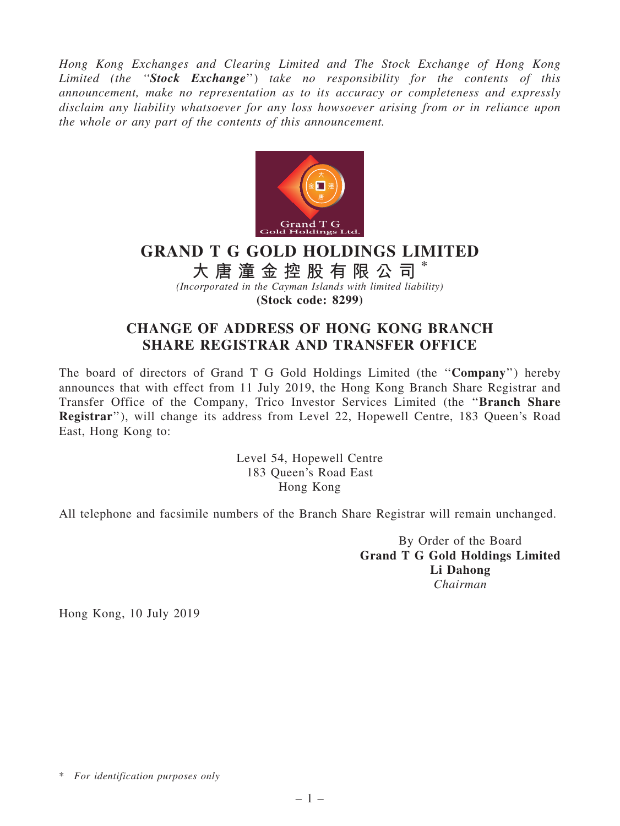Hong Kong Exchanges and Clearing Limited and The Stock Exchange of Hong Kong Limited (the "Stock Exchange") take no responsibility for the contents of this announcement, make no representation as to its accuracy or completeness and expressly disclaim any liability whatsoever for any loss howsoever arising from or in reliance upon the whole or any part of the contents of this announcement.



## GRAND T G GOLD HOLDINGS LIMITED

大 唐 潼 金 控 股 有 限 公 司

(Incorporated in the Cayman Islands with limited liability) (Stock code: 8299)

## CHANGE OF ADDRESS OF HONG KONG BRANCH SHARE REGISTRAR AND TRANSFER OFFICE

The board of directors of Grand T G Gold Holdings Limited (the ''Company'') hereby announces that with effect from 11 July 2019, the Hong Kong Branch Share Registrar and Transfer Office of the Company, Trico Investor Services Limited (the ''Branch Share Registrar''), will change its address from Level 22, Hopewell Centre, 183 Queen's Road East, Hong Kong to:

> Level 54, Hopewell Centre 183 Queen's Road East Hong Kong

All telephone and facsimile numbers of the Branch Share Registrar will remain unchanged.

By Order of the Board Grand T G Gold Holdings Limited Li Dahong Chairman

Hong Kong, 10 July 2019

<sup>\*</sup> For identification purposes only